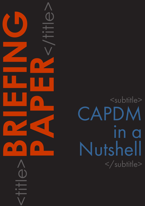<title>**BRIEFING PAPER**<br>CONSTRAINS

## <subtitle> CAPDM in a Nutshell </subtitle>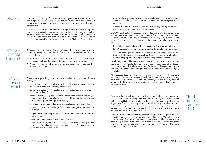## CAPDM Ltd. CAPDM Ltd.

About Us CAPDM is a company of learning content engineers. Established in 1996 in Edinburgh UK, we are 100% self-owned and funded from the services we provide to universities, professional associations, publishers and learning corporations.

> We have two core areas of expertise – single-source publishing using XML, and distance/online learning programme development. The former came from experience with publishing technical manuals for aircraft manufacturers in the 1980s; the latter came from producing the most successful non-tutored, online distance learning MBA programme in the world for Edinburgh Business School.

- an effective way to generate new business income.
- •benefits from leveraging CAPDM's proven experience in doing this for other successful online education providers, such as Edinburgh Business School and ifs School of Finance.

This all sounds expensive  $-$  is it?

Single-source publishing produces better quality learning materials more quickly. It:

- •unites all your print and online publishing efforts into a single, efficient solution for all media and delivery environments;
- lowers the ongoing cost of updating and maintaining learning materials by 40-60% over their lifetime;
- •creates valuable long-term materials assets that support knowledge management, blended learning approaches, efficient product localisation and re-branding, and strategic partnerships;
- keeps you forever independent of your online learning delivery system;
- introduces an effective knowledge/information management strategy into your organisation.

Developing flexible learning programmes with CAPDM that can be used at a distance provides:

- •a shared development process that makes the best use of your people and assets while letting CAPDM contribute its expertise and efficient production technologies.
- •success that can be sustained through efficient ongoing updating and maintenance of your courses and programmes.

CAPDM's contribution is independent of all the online learning environments you are using – we are delivery system agnostic. We can enhance any existing learning environment including Blackboard and Moodle, or build a custom one for you. The goal is to build better quality independent learning environments that:

- What can CAPDM do for you?
- 1. Design and build sustainable programmes of online distance learning for you based on open standards and new, more cost-effective Cloud technologies.
- 2. Help you to develop your own capacity to produce and maintain large numbers of high-quality online and distance learning programmes.
- 3. Create competitive online learning environments and businesses for international markets.
- •have richer content and more effective assessments and collaborations.
- •have features that particularly suit independent distance learners and tutors.
- allow the learning environment to be largely built and maintained outside of the actual delivery system being used - easing system update and migration, and enabling support for many different learning delivery systems.

Developing a profitable, international business in distance education requires you to get four key "ducks" lined up in a row - business, instructional, production and administration. This is hard to do, and CAPDM's involvement from day one with the management team charged with this business development is highly beneficial.

Also, success does not come from launching one programme. It requires a sustained commitment to ongoing growth and business development. Having an experienced partner like CAPDM to support you along the way helps to secure the business investment, prevent costly mistakes, and maintain focus on the core essentials.

At the start, the cost is about the same as if you already publish learning materials for two output uses - typically print and web. If you only want to print books with it, it is unlikely to be cost effective for you, unless you have other plans to get value from the knowledge assets created. It is very cost-effective if you need to deliver print materials for your programmes and provide rich online learning environments at the same time. It is also a very effective way to handle multilingual versions of the same material.

The approach we take becomes significantly cheaper in the long term because of the inherent efficiencies of single source publishing using XML, which is why other industries (aircraft, automotive) with substantial publishing needs have been using it since 1986. Batch production tools can generate thousands of accessible, high quality web pages in seconds, and typeset a 750 page academic textbook in minutes.

Why are these of benefit?